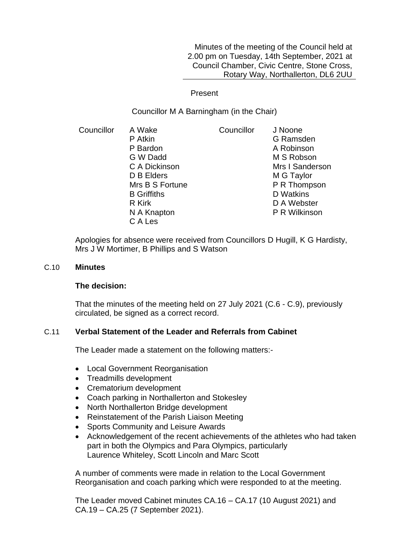Minutes of the meeting of the Council held at 2.00 pm on Tuesday, 14th September, 2021 at Council Chamber, Civic Centre, Stone Cross, Rotary Way, Northallerton, DL6 2UU

## Present

Councillor M A Barningham (in the Chair)

Councillor A Wake P Atkin P Bardon G W Dadd C A Dickinson D B Elders Mrs B S Fortune B Griffiths R Kirk N A Knapton C A Les Councillor J Noone G Ramsden A Robinson M S Robson Mrs I Sanderson M G Taylor P R Thompson D Watkins D A Webster P R Wilkinson

Apologies for absence were received from Councillors D Hugill, K G Hardisty, Mrs J W Mortimer, B Phillips and S Watson

### C.10 **Minutes**

### **The decision:**

That the minutes of the meeting held on 27 July 2021 (C.6 - C.9), previously circulated, be signed as a correct record.

# C.11 **Verbal Statement of the Leader and Referrals from Cabinet**

The Leader made a statement on the following matters:-

- Local Government Reorganisation
- Treadmills development
- Crematorium development
- Coach parking in Northallerton and Stokesley
- North Northallerton Bridge development
- Reinstatement of the Parish Liaison Meeting
- Sports Community and Leisure Awards
- Acknowledgement of the recent achievements of the athletes who had taken part in both the Olympics and Para Olympics, particularly Laurence Whiteley, Scott Lincoln and Marc Scott

A number of comments were made in relation to the Local Government Reorganisation and coach parking which were responded to at the meeting.

The Leader moved Cabinet minutes CA.16 – CA.17 (10 August 2021) and CA.19 – CA.25 (7 September 2021).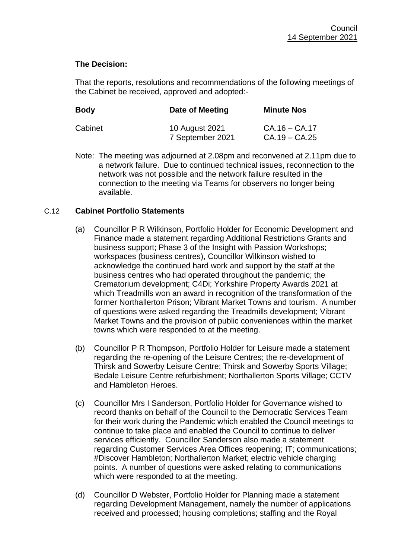# **The Decision:**

That the reports, resolutions and recommendations of the following meetings of the Cabinet be received, approved and adopted:-

| <b>Body</b> | Date of Meeting                    | <b>Minute Nos</b>                  |
|-------------|------------------------------------|------------------------------------|
| Cabinet     | 10 August 2021<br>7 September 2021 | $CA.16 - CA.17$<br>$CA.19 - CA.25$ |

Note: The meeting was adjourned at 2.08pm and reconvened at 2.11pm due to a network failure. Due to continued technical issues, reconnection to the network was not possible and the network failure resulted in the connection to the meeting via Teams for observers no longer being available.

# C.12 **Cabinet Portfolio Statements**

- (a) Councillor P R Wilkinson, Portfolio Holder for Economic Development and Finance made a statement regarding Additional Restrictions Grants and business support; Phase 3 of the Insight with Passion Workshops; workspaces (business centres), Councillor Wilkinson wished to acknowledge the continued hard work and support by the staff at the business centres who had operated throughout the pandemic; the Crematorium development; C4Di; Yorkshire Property Awards 2021 at which Treadmills won an award in recognition of the transformation of the former Northallerton Prison; Vibrant Market Towns and tourism. A number of questions were asked regarding the Treadmills development; Vibrant Market Towns and the provision of public conveniences within the market towns which were responded to at the meeting.
- (b) Councillor P R Thompson, Portfolio Holder for Leisure made a statement regarding the re-opening of the Leisure Centres; the re-development of Thirsk and Sowerby Leisure Centre; Thirsk and Sowerby Sports Village; Bedale Leisure Centre refurbishment; Northallerton Sports Village; CCTV and Hambleton Heroes.
- (c) Councillor Mrs I Sanderson, Portfolio Holder for Governance wished to record thanks on behalf of the Council to the Democratic Services Team for their work during the Pandemic which enabled the Council meetings to continue to take place and enabled the Council to continue to deliver services efficiently. Councillor Sanderson also made a statement regarding Customer Services Area Offices reopening; IT; communications; #Discover Hambleton; Northallerton Market; electric vehicle charging points. A number of questions were asked relating to communications which were responded to at the meeting.
- (d) Councillor D Webster, Portfolio Holder for Planning made a statement regarding Development Management, namely the number of applications received and processed; housing completions; staffing and the Royal